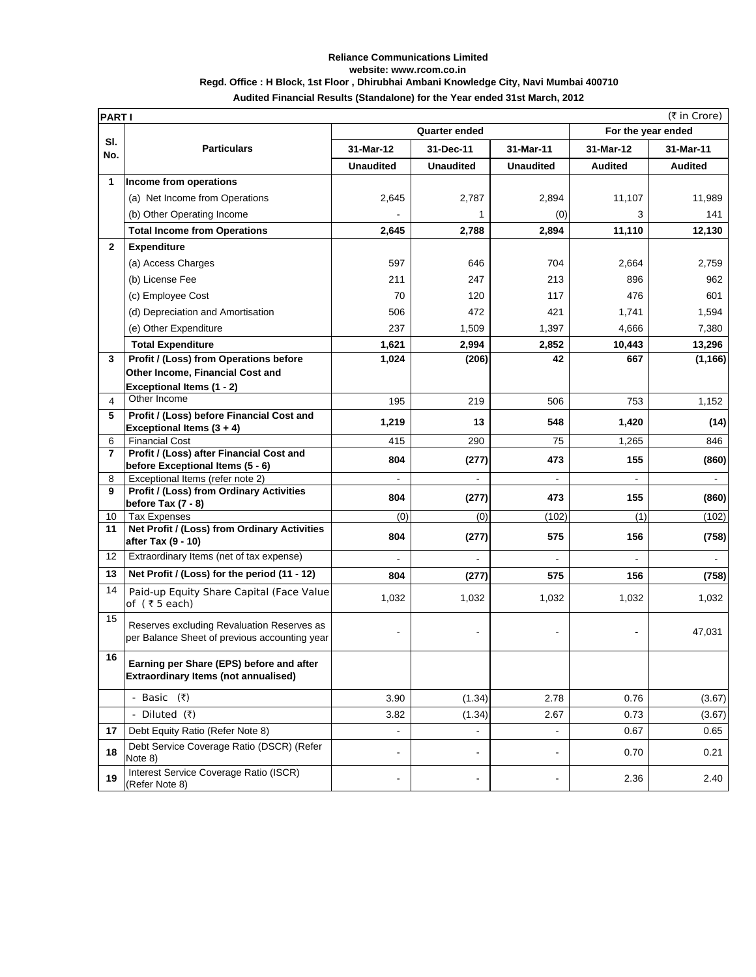## **Reliance Communications Limited website: www.rcom.co.in Regd. Office : H Block, 1st Floor , Dhirubhai Ambani Knowledge City, Navi Mumbai 400710 Audited Financial Results (Standalone) for the Year ended 31st March, 2012**

|                   | (₹ in Crore)<br><b>PARTI</b>                                                                |                  |                              |                  |                |                |
|-------------------|---------------------------------------------------------------------------------------------|------------------|------------------------------|------------------|----------------|----------------|
|                   | <b>Quarter ended</b><br>For the year ended                                                  |                  |                              |                  |                |                |
| SI.<br>No.        | <b>Particulars</b>                                                                          | 31-Mar-12        | 31-Dec-11                    | 31-Mar-11        | 31-Mar-12      | 31-Mar-11      |
|                   |                                                                                             | <b>Unaudited</b> | <b>Unaudited</b>             | <b>Unaudited</b> | <b>Audited</b> | <b>Audited</b> |
| 1                 | Income from operations                                                                      |                  |                              |                  |                |                |
|                   | (a) Net Income from Operations                                                              | 2,645            | 2,787                        | 2,894            | 11,107         | 11,989         |
|                   | (b) Other Operating Income                                                                  |                  | 1                            | (0)              | 3              | 141            |
|                   | <b>Total Income from Operations</b>                                                         | 2,645            | 2,788                        | 2,894            | 11,110         | 12,130         |
| $\overline{2}$    | <b>Expenditure</b>                                                                          |                  |                              |                  |                |                |
|                   | (a) Access Charges                                                                          | 597              | 646                          | 704              | 2,664          | 2,759          |
|                   | (b) License Fee                                                                             | 211              | 247                          | 213              | 896            | 962            |
|                   | (c) Employee Cost                                                                           | 70               | 120                          | 117              | 476            | 601            |
|                   |                                                                                             |                  |                              |                  |                |                |
|                   | (d) Depreciation and Amortisation                                                           | 506              | 472                          | 421              | 1,741          | 1,594          |
|                   | (e) Other Expenditure                                                                       | 237              | 1,509                        | 1,397            | 4,666          | 7,380          |
|                   | <b>Total Expenditure</b>                                                                    | 1,621            | 2,994                        | 2,852            | 10,443         | 13,296         |
| 3                 | Profit / (Loss) from Operations before                                                      | 1,024            | (206)                        | 42               | 667            | (1, 166)       |
|                   | Other Income, Financial Cost and                                                            |                  |                              |                  |                |                |
| 4                 | Exceptional Items (1 - 2)<br>Other Income                                                   | 195              | 219                          | 506              | 753            | 1,152          |
| 5                 | Profit / (Loss) before Financial Cost and                                                   |                  |                              |                  |                |                |
|                   | Exceptional Items $(3 + 4)$                                                                 | 1,219            | 13                           | 548              | 1,420          | (14)           |
| 6                 | <b>Financial Cost</b>                                                                       | 415              | 290                          | 75               | 1,265          | 846            |
| $\overline{7}$    | Profit / (Loss) after Financial Cost and                                                    | 804              | (277)                        | 473              | 155            | (860)          |
| 8                 | before Exceptional Items (5 - 6)<br>Exceptional Items (refer note 2)                        |                  | ä,                           | $\blacksquare$   |                | $\blacksquare$ |
| 9                 | Profit / (Loss) from Ordinary Activities                                                    |                  |                              |                  |                |                |
|                   | before Tax $(7 - 8)$                                                                        | 804              | (277)                        | 473              | 155            | (860)          |
| 10                | <b>Tax Expenses</b>                                                                         | (0)              | (0)                          | (102)            | (1)            | (102)          |
| 11                | Net Profit / (Loss) from Ordinary Activities<br>after Tax (9 - 10)                          | 804              | (277)                        | 575              | 156            | (758)          |
| $12 \overline{ }$ | Extraordinary Items (net of tax expense)                                                    |                  |                              |                  |                |                |
| 13                | Net Profit / (Loss) for the period (11 - 12)                                                | 804              | (277)                        | 575              | 156            | (758)          |
| 14                | Paid-up Equity Share Capital (Face Value<br>of $(75$ each)                                  | 1,032            | 1,032                        | 1,032            | 1,032          | 1,032          |
| 15                | Reserves excluding Revaluation Reserves as<br>per Balance Sheet of previous accounting year |                  |                              |                  |                | 47,031         |
| 16                | Earning per Share (EPS) before and after<br><b>Extraordinary Items (not annualised)</b>     |                  |                              |                  |                |                |
|                   | - Basic (₹)                                                                                 | 3.90             | (1.34)                       | 2.78             | 0.76           | (3.67)         |
|                   | - Diluted (₹)                                                                               | 3.82             | (1.34)                       | 2.67             | 0.73           | (3.67)         |
| 17                | Debt Equity Ratio (Refer Note 8)                                                            |                  |                              | $\blacksquare$   | 0.67           | 0.65           |
| 18                | Debt Service Coverage Ratio (DSCR) (Refer<br>Note 8)                                        |                  | $\qquad \qquad \blacksquare$ | -                | 0.70           | 0.21           |
| 19                | Interest Service Coverage Ratio (ISCR)<br>(Refer Note 8)                                    |                  |                              | -                | 2.36           | 2.40           |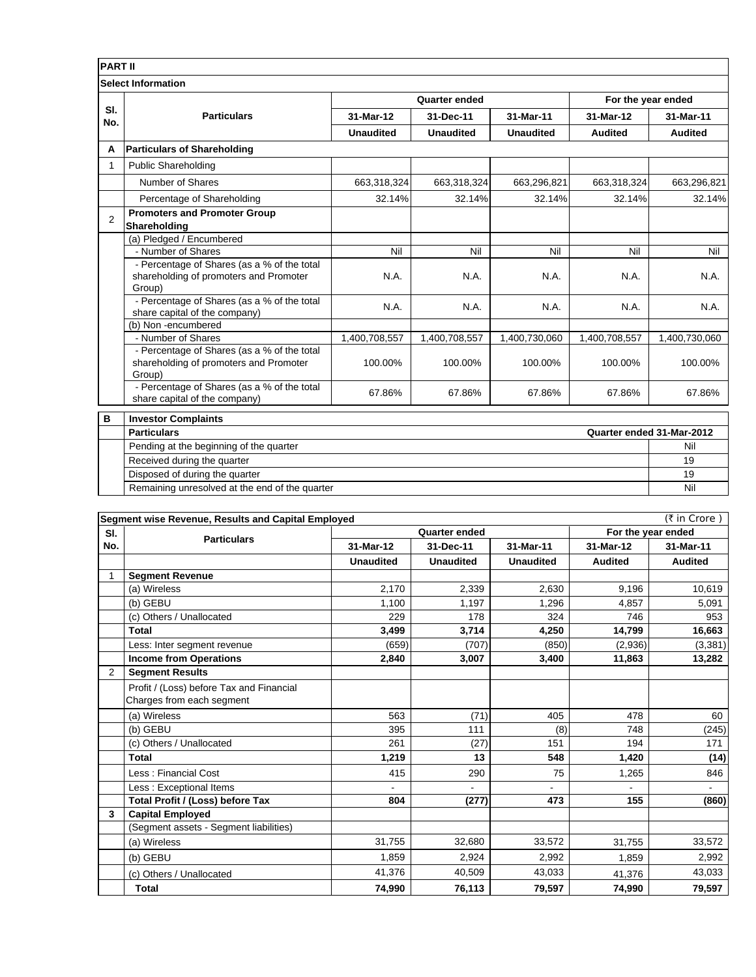| <b>PART II</b> |                                                                                                 |                      |                  |                  |                    |                |
|----------------|-------------------------------------------------------------------------------------------------|----------------------|------------------|------------------|--------------------|----------------|
|                | <b>Select Information</b>                                                                       |                      |                  |                  |                    |                |
|                | <b>Particulars</b>                                                                              | <b>Quarter ended</b> |                  |                  | For the year ended |                |
| SI.<br>No.     |                                                                                                 | 31-Mar-12            | 31-Dec-11        | 31-Mar-11        | 31-Mar-12          | 31-Mar-11      |
|                |                                                                                                 | <b>Unaudited</b>     | <b>Unaudited</b> | <b>Unaudited</b> | <b>Audited</b>     | <b>Audited</b> |
| A              | <b>Particulars of Shareholding</b>                                                              |                      |                  |                  |                    |                |
|                | <b>Public Shareholding</b>                                                                      |                      |                  |                  |                    |                |
|                | Number of Shares                                                                                | 663,318,324          | 663,318,324      | 663,296,821      | 663,318,324        | 663,296,821    |
|                | Percentage of Shareholding                                                                      | 32.14%               | 32.14%           | 32.14%           | 32.14%             | 32.14%         |
| $\overline{2}$ | <b>Promoters and Promoter Group</b><br>Shareholding                                             |                      |                  |                  |                    |                |
|                | (a) Pledged / Encumbered                                                                        |                      |                  |                  |                    |                |
|                | - Number of Shares                                                                              | Nil                  | Nil              | Nil              | Nil                | Nil            |
|                | - Percentage of Shares (as a % of the total<br>shareholding of promoters and Promoter<br>Group) | N.A.                 | N.A.             | N.A.             | N.A.               | N.A.           |
|                | - Percentage of Shares (as a % of the total<br>share capital of the company)                    | N.A.                 | N.A.             | N.A.             | N.A.               | N.A.           |
|                | (b) Non-encumbered                                                                              |                      |                  |                  |                    |                |
|                | - Number of Shares                                                                              | 1,400,708,557        | 1,400,708,557    | 1,400,730,060    | 1,400,708,557      | 1,400,730,060  |
|                | - Percentage of Shares (as a % of the total<br>shareholding of promoters and Promoter<br>Group) | 100.00%              | 100.00%          | 100.00%          | 100.00%            | 100.00%        |
|                | - Percentage of Shares (as a % of the total<br>share capital of the company)                    | 67.86%               | 67.86%           | 67.86%           | 67.86%             | 67.86%         |
| в              | <b>Investor Complaints</b>                                                                      |                      |                  |                  |                    |                |
|                | Quarter ended 31-Mar-2012<br><b>Particulars</b>                                                 |                      |                  |                  |                    |                |

| <b>Particulars</b>                             | Quarter ended 31-Mar-2012 |  |
|------------------------------------------------|---------------------------|--|
| Pending at the beginning of the quarter        | Nil                       |  |
| Received during the quarter                    | 19                        |  |
| Disposed of during the quarter                 | 19                        |  |
| Remaining unresolved at the end of the quarter | Nil                       |  |

| (₹ in Crore)<br>Segment wise Revenue, Results and Capital Employed |                                                                       |                  |                  |                  |                    |                          |
|--------------------------------------------------------------------|-----------------------------------------------------------------------|------------------|------------------|------------------|--------------------|--------------------------|
| SI.                                                                |                                                                       | Quarter ended    |                  |                  | For the year ended |                          |
| No.                                                                | <b>Particulars</b>                                                    | 31-Mar-12        | 31-Dec-11        | 31-Mar-11        | 31-Mar-12          | 31-Mar-11                |
|                                                                    |                                                                       | <b>Unaudited</b> | <b>Unaudited</b> | <b>Unaudited</b> | <b>Audited</b>     | <b>Audited</b>           |
| 1                                                                  | <b>Segment Revenue</b>                                                |                  |                  |                  |                    |                          |
|                                                                    | (a) Wireless                                                          | 2,170            | 2,339            | 2,630            | 9,196              | 10,619                   |
|                                                                    | (b) GEBU                                                              | 1,100            | 1,197            | 1,296            | 4,857              | 5,091                    |
|                                                                    | (c) Others / Unallocated                                              | 229              | 178              | 324              | 746                | 953                      |
|                                                                    | <b>Total</b>                                                          | 3,499            | 3,714            | 4,250            | 14,799             | 16,663                   |
|                                                                    | Less: Inter segment revenue                                           | (659)            | (707)            | (850)            | (2,936)            | (3,381)                  |
|                                                                    | <b>Income from Operations</b>                                         | 2,840            | 3,007            | 3,400            | 11,863             | 13,282                   |
| 2                                                                  | <b>Segment Results</b>                                                |                  |                  |                  |                    |                          |
|                                                                    | Profit / (Loss) before Tax and Financial<br>Charges from each segment |                  |                  |                  |                    |                          |
|                                                                    | (a) Wireless                                                          | 563              | (71)             | 405              | 478                | 60                       |
|                                                                    | (b) GEBU                                                              | 395              | 111              | (8)              | 748                | (245)                    |
|                                                                    | (c) Others / Unallocated                                              | 261              | (27)             | 151              | 194                | 171                      |
|                                                                    | <b>Total</b>                                                          | 1,219            | 13               | 548              | 1,420              | (14)                     |
|                                                                    | Less: Financial Cost                                                  | 415              | 290              | 75               | 1,265              | 846                      |
|                                                                    | Less: Exceptional Items                                               |                  | $\blacksquare$   |                  |                    | $\overline{\phantom{0}}$ |
|                                                                    | Total Profit / (Loss) before Tax                                      | 804              | (277)            | 473              | 155                | (860)                    |
| 3                                                                  | <b>Capital Employed</b>                                               |                  |                  |                  |                    |                          |
|                                                                    | (Segment assets - Segment liabilities)                                |                  |                  |                  |                    |                          |
|                                                                    | (a) Wireless                                                          | 31.755           | 32.680           | 33,572           | 31.755             | 33,572                   |
|                                                                    | (b) GEBU                                                              | 1,859            | 2,924            | 2,992            | 1,859              | 2,992                    |
|                                                                    | (c) Others / Unallocated                                              | 41,376           | 40.509           | 43,033           | 41.376             | 43,033                   |
|                                                                    | <b>Total</b>                                                          | 74,990           | 76,113           | 79,597           | 74,990             | 79,597                   |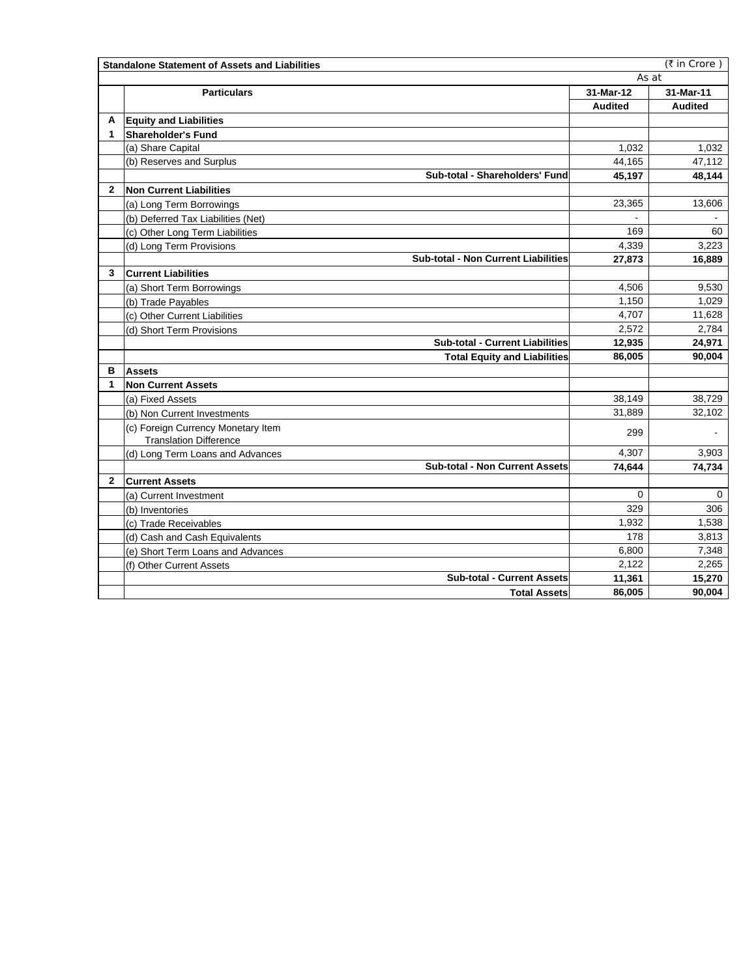|              | (₹ in Crore)<br><b>Standalone Statement of Assets and Liabilities</b> |                |                |  |  |
|--------------|-----------------------------------------------------------------------|----------------|----------------|--|--|
|              | As at                                                                 |                |                |  |  |
|              | <b>Particulars</b>                                                    | 31-Mar-12      | 31-Mar-11      |  |  |
|              |                                                                       | <b>Audited</b> | <b>Audited</b> |  |  |
| A            | <b>Equity and Liabilities</b>                                         |                |                |  |  |
| 1            | <b>Shareholder's Fund</b>                                             |                |                |  |  |
|              | (a) Share Capital                                                     | 1,032          | 1.032          |  |  |
|              | (b) Reserves and Surplus                                              | 44.165         | 47,112         |  |  |
|              | Sub-total - Shareholders' Fund                                        | 45,197         | 48,144         |  |  |
| $\mathbf{2}$ | <b>Non Current Liabilities</b>                                        |                |                |  |  |
|              | (a) Long Term Borrowings                                              | 23,365         | 13,606         |  |  |
|              | (b) Deferred Tax Liabilities (Net)                                    |                |                |  |  |
|              | (c) Other Long Term Liabilities                                       | 169            | 60             |  |  |
|              | (d) Long Term Provisions                                              | 4,339          | 3.223          |  |  |
|              | <b>Sub-total - Non Current Liabilities</b>                            | 27,873         | 16,889         |  |  |
| 3            | Current Liabilities                                                   |                |                |  |  |
|              | (a) Short Term Borrowings                                             | 4,506          | 9,530          |  |  |
|              | (b) Trade Payables                                                    | 1.150          | 1.029          |  |  |
|              | (c) Other Current Liabilities                                         | 4,707          | 11,628         |  |  |
|              | (d) Short Term Provisions                                             | 2,572          | 2,784          |  |  |
|              | <b>Sub-total - Current Liabilities</b>                                | 12,935         | 24,971         |  |  |
|              | <b>Total Equity and Liabilities</b>                                   | 86,005         | 90,004         |  |  |
| в            | <b>Assets</b>                                                         |                |                |  |  |
| 1            | <b>Non Current Assets</b>                                             |                |                |  |  |
|              | (a) Fixed Assets                                                      | 38,149         | 38,729         |  |  |
|              | (b) Non Current Investments                                           | 31,889         | 32,102         |  |  |
|              | (c) Foreign Currency Monetary Item<br><b>Translation Difference</b>   | 299            |                |  |  |
|              | (d) Long Term Loans and Advances                                      | 4,307          | 3,903          |  |  |
|              | <b>Sub-total - Non Current Assets</b>                                 | 74,644         | 74,734         |  |  |
| $\mathbf{2}$ | <b>Current Assets</b>                                                 |                |                |  |  |
|              | (a) Current Investment                                                | $\Omega$       | 0              |  |  |
|              | (b) Inventories                                                       | 329            | 306            |  |  |
|              | (c) Trade Receivables                                                 | 1,932          | 1,538          |  |  |
|              | (d) Cash and Cash Equivalents                                         | 178            | 3,813          |  |  |
|              | (e) Short Term Loans and Advances                                     | 6,800          | 7,348          |  |  |
|              | (f) Other Current Assets                                              | 2,122          | 2,265          |  |  |
|              | <b>Sub-total - Current Assets</b>                                     | 11,361         | 15,270         |  |  |
|              | <b>Total Assets</b>                                                   | 86,005         | 90,004         |  |  |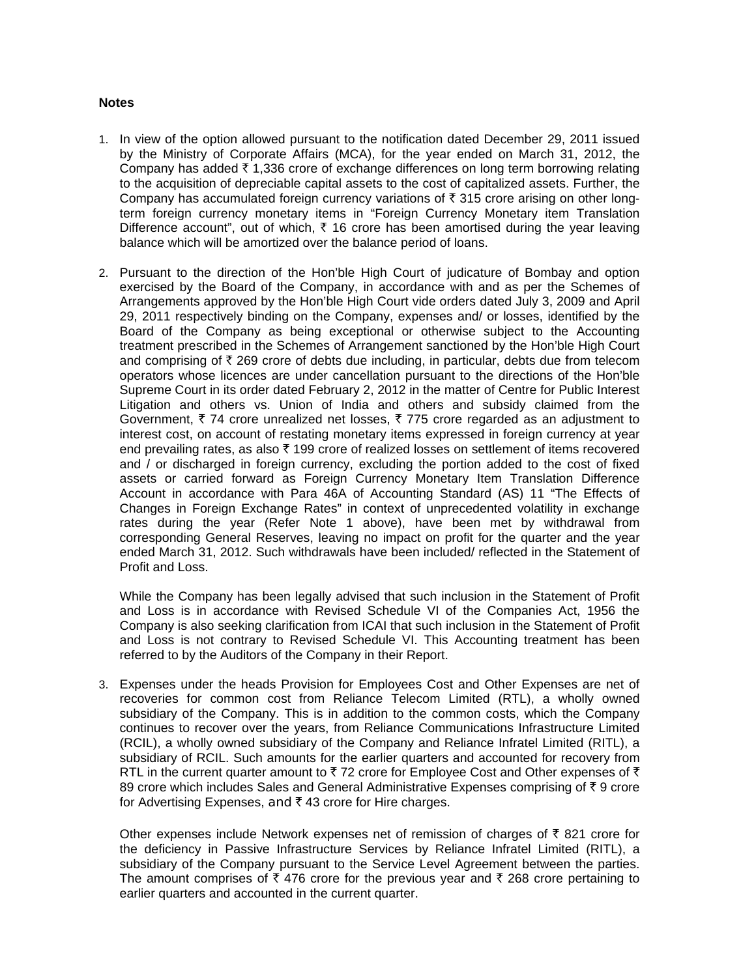## **Notes**

- 1. In view of the option allowed pursuant to the notification dated December 29, 2011 issued by the Ministry of Corporate Affairs (MCA), for the year ended on March 31, 2012, the Company has added  $\bar{\tau}$  1,336 crore of exchange differences on long term borrowing relating to the acquisition of depreciable capital assets to the cost of capitalized assets. Further, the Company has accumulated foreign currency variations of  $\bar{\tau}$  315 crore arising on other longterm foreign currency monetary items in "Foreign Currency Monetary item Translation Difference account", out of which,  $\bar{\tau}$  16 crore has been amortised during the year leaving balance which will be amortized over the balance period of loans.
- 2. Pursuant to the direction of the Hon'ble High Court of judicature of Bombay and option exercised by the Board of the Company, in accordance with and as per the Schemes of Arrangements approved by the Hon'ble High Court vide orders dated July 3, 2009 and April 29, 2011 respectively binding on the Company, expenses and/ or losses, identified by the Board of the Company as being exceptional or otherwise subject to the Accounting treatment prescribed in the Schemes of Arrangement sanctioned by the Hon'ble High Court and comprising of  $\bar{\tau}$  269 crore of debts due including, in particular, debts due from telecom operators whose licences are under cancellation pursuant to the directions of the Hon'ble Supreme Court in its order dated February 2, 2012 in the matter of Centre for Public Interest Litigation and others vs. Union of India and others and subsidy claimed from the Government,  $\bar{\tau}$  74 crore unrealized net losses,  $\bar{\tau}$  775 crore regarded as an adjustment to interest cost, on account of restating monetary items expressed in foreign currency at year end prevailing rates, as also  $\bar{\tau}$  199 crore of realized losses on settlement of items recovered and / or discharged in foreign currency, excluding the portion added to the cost of fixed assets or carried forward as Foreign Currency Monetary Item Translation Difference Account in accordance with Para 46A of Accounting Standard (AS) 11 "The Effects of Changes in Foreign Exchange Rates" in context of unprecedented volatility in exchange rates during the year (Refer Note 1 above), have been met by withdrawal from corresponding General Reserves, leaving no impact on profit for the quarter and the year ended March 31, 2012. Such withdrawals have been included/ reflected in the Statement of Profit and Loss.

While the Company has been legally advised that such inclusion in the Statement of Profit and Loss is in accordance with Revised Schedule VI of the Companies Act, 1956 the Company is also seeking clarification from ICAI that such inclusion in the Statement of Profit and Loss is not contrary to Revised Schedule VI. This Accounting treatment has been referred to by the Auditors of the Company in their Report.

3. Expenses under the heads Provision for Employees Cost and Other Expenses are net of recoveries for common cost from Reliance Telecom Limited (RTL), a wholly owned subsidiary of the Company. This is in addition to the common costs, which the Company continues to recover over the years, from Reliance Communications Infrastructure Limited (RCIL), a wholly owned subsidiary of the Company and Reliance Infratel Limited (RITL), a subsidiary of RCIL. Such amounts for the earlier quarters and accounted for recovery from RTL in the current quarter amount to  $\bar{\tau}$  72 crore for Employee Cost and Other expenses of  $\bar{\tau}$ 89 crore which includes Sales and General Administrative Expenses comprising of  $\bar{\tau}$  9 crore for Advertising Expenses, and  $\bar{\tau}$  43 crore for Hire charges.

Other expenses include Network expenses net of remission of charges of  $\bar{\tau}$  821 crore for the deficiency in Passive Infrastructure Services by Reliance Infratel Limited (RITL), a subsidiary of the Company pursuant to the Service Level Agreement between the parties. The amount comprises of  $\bar{\tau}$  476 crore for the previous year and  $\bar{\tau}$  268 crore pertaining to earlier quarters and accounted in the current quarter.